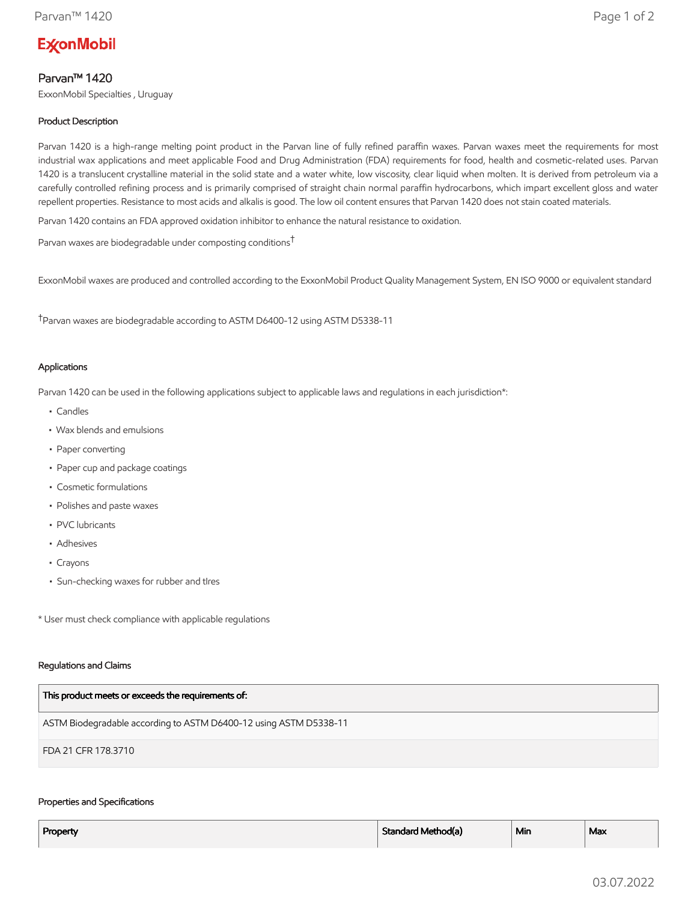# **ExconMobil**

# Parvan™ 1420

ExxonMobil Specialties , Uruguay

# Product Description

Parvan 1420 is a high-range melting point product in the Parvan line of fully refined paraffin waxes. Parvan waxes meet the requirements for most industrial wax applications and meet applicable Food and Drug Administration (FDA) requirements for food, health and cosmetic-related uses. Parvan 1420 is a translucent crystalline material in the solid state and a water white, low viscosity, clear liquid when molten. It is derived from petroleum via a carefully controlled refining process and is primarily comprised of straight chain normal paraffin hydrocarbons, which impart excellent gloss and water repellent properties. Resistance to most acids and alkalis is good. The low oil content ensures that Parvan 1420 does not stain coated materials.

Parvan 1420 contains an FDA approved oxidation inhibitor to enhance the natural resistance to oxidation.

Parvan waxes are biodegradable under composting conditions†

ExxonMobil waxes are produced and controlled according to the ExxonMobil Product Quality Management System, EN ISO 9000 or equivalent standard

†Parvan waxes are biodegradable according to ASTM D6400-12 using ASTM D5338-11

## Applications

Parvan 1420 can be used in the following applications subject to applicable laws and regulations in each jurisdiction\*:

- Candles
- Wax blends and emulsions
- Paper converting
- Paper cup and package coatings
- Cosmetic formulations
- Polishes and paste waxes
- PVC lubricants
- Adhesives
- Crayons
- Sun-checking waxes for rubber and tIres

\* User must check compliance with applicable regulations

#### Regulations and Claims

| This product meets or exceeds the requirements of:                |
|-------------------------------------------------------------------|
| ASTM Biodegradable according to ASTM D6400-12 using ASTM D5338-11 |
| FDA 21 CFR 178.3710                                               |

#### Properties and Specifications

| Property | Standard Method(a) | <sup>⊥</sup> Min | Max |
|----------|--------------------|------------------|-----|
|          |                    |                  |     |